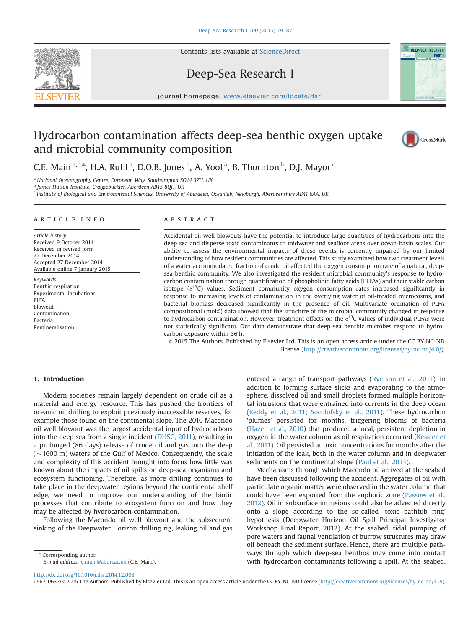Contents lists available at [ScienceDirect](www.sciencedirect.com/science/journal/09670637)

# Deep-Sea Research I

journal homepage: <www.elsevier.com/locate/dsri>

# Hydrocarbon contamination affects deep-sea benthic oxygen uptake and microbial community composition



DEEP-SEA RESEARD

C.E. Main <sup>a,c,\*</sup>, H.A. Ruhl <sup>a</sup>, D.O.B. Jones <sup>a</sup>, A. Yool <sup>a</sup>, B. Thornton <sup>b</sup>, D.J. Mayor <sup>c</sup>

<sup>a</sup> National Oceanography Centre, European Way, Southampton SO14 3ZH, UK

<sup>b</sup> James Hutton Institute, Craigiebuckler, Aberdeen AB15 8QH, UK

 $\epsilon$  Institute of Biological and Environmental Sciences, University of Aberdeen, Oceanlab, Newburgh, Aberdeenshire AB41 6AA, UK

#### article info

Article history: Received 9 October 2014 Received in revised form 22 December 2014 Accepted 27 December 2014 Available online 7 January 2015

Keywords: Benthic respiration Experimental incubations PLFA **Blowout** Contamination Bacteria Remineralisation

## **ABSTRACT**

Accidental oil well blowouts have the potential to introduce large quantities of hydrocarbons into the deep sea and disperse toxic contaminants to midwater and seafloor areas over ocean-basin scales. Our ability to assess the environmental impacts of these events is currently impaired by our limited understanding of how resident communities are affected. This study examined how two treatment levels of a water accommodated fraction of crude oil affected the oxygen consumption rate of a natural, deepsea benthic community. We also investigated the resident microbial community's response to hydrocarbon contamination through quantification of phospholipid fatty acids (PLFAs) and their stable carbon isotope  $(\delta^{13}C)$  values. Sediment community oxygen consumption rates increased significantly in response to increasing levels of contamination in the overlying water of oil-treated microcosms, and bacterial biomass decreased significantly in the presence of oil. Multivariate ordination of PLFA compositional (mol%) data showed that the structure of the microbial community changed in response to hydrocarbon contamination. However, treatment effects on the  $\delta^{13}$ C values of individual PLFAs were not statistically significant. Our data demonstrate that deep-sea benthic microbes respond to hydrocarbon exposure within 36 h.

& 2015 The Authors. Published by Elsevier Ltd. This is an open access article under the CC BY-NC-ND license (http://creativecommons.org/licenses/by-nc-nd/4.0/).

## 1. Introduction

Modern societies remain largely dependent on crude oil as a material and energy resource. This has pushed the frontiers of oceanic oil drilling to exploit previously inaccessible reserves, for example those found on the continental slope. The 2010 Macondo oil well blowout was the largest accidental input of hydrocarbons into the deep sea from a single incident ([DHSG, 2011\)](#page-7-0), resulting in a prolonged (86 days) release of crude oil and gas into the deep ( $\sim$ 1600 m) waters of the Gulf of Mexico. Consequently, the scale and complexity of this accident brought into focus how little was known about the impacts of oil spills on deep-sea organisms and ecosystem functioning. Therefore, as more drilling continues to take place in the deepwater regions beyond the continental shelf edge, we need to improve our understanding of the biotic processes that contribute to ecosystem function and how they may be affected by hydrocarbon contamination.

Following the Macondo oil well blowout and the subsequent sinking of the Deepwater Horizon drilling rig, leaking oil and gas

\* Corresponding author. E-mail address: [c.main@abdn.ac.uk](mailto:c.main@abdn.ac.uk) (C.E. Main). entered a range of transport pathways ([Ryerson et al., 2011\)](#page-8-0). In addition to forming surface slicks and evaporating to the atmosphere, dissolved oil and small droplets formed multiple horizontal intrusions that were entrained into currents in the deep ocean ([Reddy et al., 2011; Socolofsky et al., 2011\)](#page-8-0). These hydrocarbon 'plumes' persisted for months, triggering blooms of bacteria ([Hazen et al., 2010](#page-7-0)) that produced a local, persistent depletion in oxygen in the water column as oil respiration occurred ([Kessler et](#page-7-0) [al., 2011\)](#page-7-0). Oil persisted at toxic concentrations for months after the initiation of the leak, both in the water column and in deepwater sediments on the continental slope [\(Paul et al., 2013\)](#page-8-0).

Mechanisms through which Macondo oil arrived at the seabed have been discussed following the accident. Aggregates of oil with particulate organic matter were observed in the water column that could have been exported from the euphotic zone [\(Passow et al.,](#page-8-0) [2012\)](#page-8-0). Oil in subsurface intrusions could also be advected directly onto a slope according to the so-called 'toxic bathtub ring' hypothesis (Deepwater Horizon Oil Spill Principal Investigator Workshop Final Report, 2012). At the seabed, tidal pumping of pore waters and faunal ventilation of burrow structures may draw oil beneath the sediment surface. Hence, there are multiple pathways through which deep-sea benthos may come into contact with hydrocarbon contaminants following a spill. At the seabed,

<http://dx.doi.org/10.1016/j.dsr.2014.12.008>

0967-0637/@ 2015 The Authors. Published by Elsevier Ltd. This is an open access article under the CC BY-NC-ND license (http://creativecommons.org/licenses/by-nc-nd/4.0/).

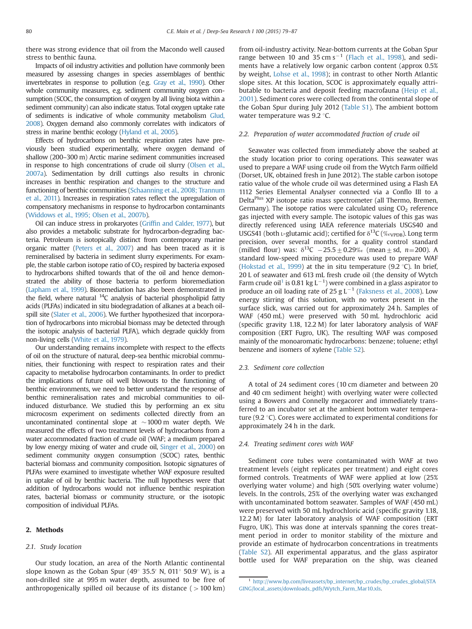there was strong evidence that oil from the Macondo well caused stress to benthic fauna.

Impacts of oil industry activities and pollution have commonly been measured by assessing changes in species assemblages of benthic invertebrates in response to pollution (e.g. [Gray et al., 1990](#page-7-0)). Other whole community measures, e.g. sediment community oxygen consumption (SCOC, the consumption of oxygen by all living biota within a sediment community) can also indicate status. Total oxygen uptake rate of sediments is indicative of whole community metabolism [Glud,](#page-7-0) [2008\)](#page-7-0). Oxygen demand also commonly correlates with indicators of stress in marine benthic ecology ([Hyland et al., 2005\)](#page-7-0).

Effects of hydrocarbons on benthic respiration rates have previously been studied experimentally, where oxygen demand of shallow (200–300 m) Arctic marine sediment communities increased in response to high concentrations of crude oil slurry ([Olsen et al.,](#page-8-0) [2007a\)](#page-8-0). Sedimentation by drill cuttings also results in chronic increases in benthic respiration and changes to the structure and functioning of benthic communities ([Schaanning et al., 2008; Trannum](#page-8-0) [et al., 2011](#page-8-0)). Increases in respiration rates reflect the upregulation of compensatory mechanisms in response to hydrocarbon contaminants [\(Widdows et al., 1995; Olsen et al., 2007b](#page-8-0)).

Oil can induce stress in prokaryotes (Griffi[n and Calder, 1977](#page-7-0)), but also provides a metabolic substrate for hydrocarbon-degrading bacteria. Petroleum is isotopically distinct from contemporary marine organic matter [\(Peters et al., 2007](#page-8-0)) and has been traced as it is remineralised by bacteria in sediment slurry experiments. For example, the stable carbon isotope ratio of  $CO<sub>2</sub>$  respired by bacteria exposed to hydrocarbons shifted towards that of the oil and hence demonstrated the ability of those bacteria to perform bioremediation [\(Lapham et al., 1999](#page-7-0)). Bioremediation has also been demonstrated in the field, where natural  $^{14}C$  analysis of bacterial phospholipid fatty acids (PLFAs) indicated in situ biodegradation of alkanes at a beach oilspill site ([Slater et al., 2006](#page-8-0)). We further hypothesized that incorporation of hydrocarbons into microbial biomass may be detected through the isotopic analysis of bacterial PLFA), which degrade quickly from non-living cells [\(White et al., 1979\)](#page-8-0).

Our understanding remains incomplete with respect to the effects of oil on the structure of natural, deep-sea benthic microbial communities, their functioning with respect to respiration rates and their capacity to metabolise hydrocarbon contaminants. In order to predict the implications of future oil well blowouts to the functioning of benthic environments, we need to better understand the response of benthic remineralisation rates and microbial communities to oilinduced disturbance. We studied this by performing an ex situ microcosm experiment on sediments collected directly from an uncontaminated continental slope at  $\sim$  1000 m water depth. We measured the effects of two treatment levels of hydrocarbons from a water accommodated fraction of crude oil (WAF; a medium prepared by low energy mixing of water and crude oil, [Singer et al., 2000\)](#page-8-0) on sediment community oxygen consumption (SCOC) rates, benthic bacterial biomass and community composition. Isotopic signatures of PLFAs were examined to investigate whether WAF exposure resulted in uptake of oil by benthic bacteria. The null hypotheses were that addition of hydrocarbons would not influence benthic respiration rates, bacterial biomass or community structure, or the isotopic composition of individual PLFAs.

## 2. Methods

#### 2.1. Study location

Our study location, an area of the North Atlantic continental slope known as the Goban Spur (49 $^{\circ}$  35.5 $^{\prime}$  N, 011 $^{\circ}$  50.9 $^{\prime}$  W), is a non-drilled site at 995 m water depth, assumed to be free of anthropogenically spilled oil because of its distance  $(>100 \text{ km})$  from oil-industry activity. Near-bottom currents at the Goban Spur range between 10 and 35 cm  $s^{-1}$  ([Flach et al., 1998](#page-7-0)), and sediments have a relatively low organic carbon content (approx 0.5% by weight, [Lohse et al., 1998](#page-7-0)); in contrast to other North Atlantic slope sites. At this location, SCOC is approximately equally attributable to bacteria and deposit feeding macrofauna [\(Heip et al.,](#page-7-0) [2001\)](#page-7-0). Sediment cores were collected from the continental slope of the Goban Spur during July 2012 [\(Table S1](#page-7-0)). The ambient bottom water temperature was  $9.2$  °C.

## 2.2. Preparation of water accommodated fraction of crude oil

Seawater was collected from immediately above the seabed at the study location prior to coring operations. This seawater was used to prepare a WAF using crude oil from the Wytch Farm oilfield (Dorset, UK, obtained fresh in June 2012). The stable carbon isotope ratio value of the whole crude oil was determined using a Flash EA 1112 Series Elemental Analyser connected via a Conflo III to a Delta<sup>Plus</sup> XP isotope ratio mass spectrometer (all Thermo, Bremen, Germany). The isotope ratios were calculated using  $CO<sub>2</sub>$  reference gas injected with every sample. The isotopic values of this gas was directly referenced using IAEA reference materials USGS40 and USGS41 (both L-glutamic acid); certified for  $\delta^{13}C$  (‰<sub>VPDB</sub>). Long term precision, over several months, for a quality control standard (milled flour) was:  $\delta^{13}C$  - 25.5  $\pm$  0.29‰ (mean  $\pm$  sd, n=200). A standard low-speed mixing procedure was used to prepare WAF ([Hokstad et al., 1999\)](#page-7-0) at the in situ temperature (9.2 °C). In brief, 20 L of seawater and 613 mL fresh crude oil (the density of Wytch Farm crude oil<sup>1</sup> is 0.81 kg L<sup>-1</sup>) were combined in a glass aspirator to produce an oil loading rate of 25 g  $L^{-1}$  [\(Faksness et al., 2008\)](#page-7-0). Low energy stirring of this solution, with no vortex present in the surface slick, was carried out for approximately 24 h. Samples of WAF (450 mL) were preserved with 50 mL hydrochloric acid (specific gravity 1.18, 12.2 M) for later laboratory analysis of WAF composition (ERT Fugro, UK). The resulting WAF was composed mainly of the monoaromatic hydrocarbons: benzene; toluene; ethyl benzene and isomers of xylene [\(Table S2\)](#page-7-0).

#### 2.3. Sediment core collection

A total of 24 sediment cores (10 cm diameter and between 20 and 40 cm sediment height) with overlying water were collected using a Bowers and Connelly megacorer and immediately transferred to an incubator set at the ambient bottom water temperature (9.2 $\degree$ C). Cores were acclimated to experimental conditions for approximately 24 h in the dark.

#### 2.4. Treating sediment cores with WAF

Sediment core tubes were contaminated with WAF at two treatment levels (eight replicates per treatment) and eight cores formed controls. Treatments of WAF were applied at low (25% overlying water volume) and high (50% overlying water volume) levels. In the controls, 25% of the overlying water was exchanged with uncontaminated bottom seawater. Samples of WAF (450 mL) were preserved with 50 mL hydrochloric acid (specific gravity 1.18, 12.2 M) for later laboratory analysis of WAF composition (ERT Fugro, UK). This was done at intervals spanning the cores treatment period in order to monitor stability of the mixture and provide an estimate of hydrocarbon concentrations in treatments ([Table S2](#page-7-0)). All experimental apparatus, and the glass aspirator bottle used for WAF preparation on the ship, was cleaned

<sup>1</sup> [http://www.bp.com/liveassets/bp\\_internet/bp\\_crudes/bp\\_crudes\\_global/STA](http://www.bp.com/liveassets/bp_internet/bp_crudes/bp_crudes_global/STAGING/local_assets/downloads_pdfs/Wytch_Farm_Mar10.xls) [GING/local\\_assets/downloads\\_pdfs/Wytch\\_Farm\\_Mar10.xls.](http://www.bp.com/liveassets/bp_internet/bp_crudes/bp_crudes_global/STAGING/local_assets/downloads_pdfs/Wytch_Farm_Mar10.xls)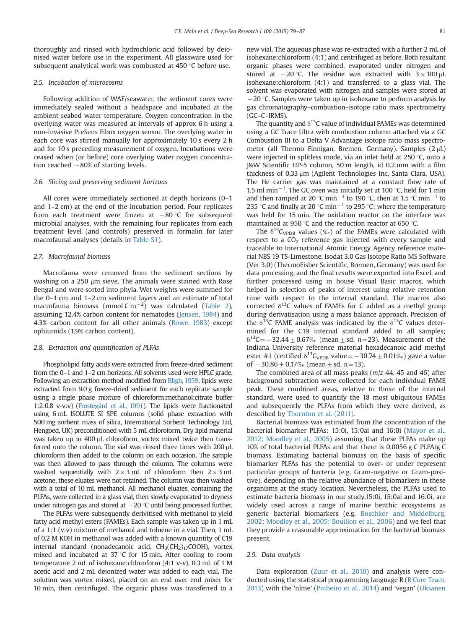thoroughly and rinsed with hydrochloric acid followed by deionised water before use in the experiment. All glassware used for subsequent analytical work was combusted at 450 °C before use.

#### 2.5. Incubation of microcosms

Following addition of WAF/seawater, the sediment cores were immediately sealed without a headspace and incubated at the ambient seabed water temperature. Oxygen concentration in the overlying water was measured at intervals of approx 6 h using a non-invasive PreSens Fibox oxygen sensor. The overlying water in each core was stirred manually for approximately 10 s every 2 h and for 10 s preceding measurement of oxygen. Incubations were ceased when (or before) core overlying water oxygen concentration reached  $\sim$  80% of starting levels.

## 2.6. Slicing and preserving sediment horizons

All cores were immediately sectioned at depth horizons (0–1 and 1–2 cm) at the end of the incubation period. Four replicates from each treatment were frozen at  $-80$  °C for subsequent microbial analyses, with the remaining four replicates from each treatment level (and controls) preserved in formalin for later macrofaunal analyses (details in [Table S1\)](#page-7-0).

#### 2.7. Macrofaunal biomass

Macrofauna were removed from the sediment sections by washing on a 250 μm sieve. The animals were stained with Rose Bengal and were sorted into phyla. Wet weights were summed for the 0–1 cm and 1–2 cm sediment layers and an estimate of total macrofauna biomass (mmol  $\textsf{C}\,\textsf{m}^{-2}$ ) was calculated [\(Table 2\)](#page-4-0), assuming 12.4% carbon content for nematodes [\(Jensen, 1984\)](#page-7-0) and 4.3% carbon content for all other animals ([Rowe, 1983\)](#page-8-0) except ophiuroids (1.9% carbon content).

### 2.8. Extraction and quantification of PLFAs

Phospholipid fatty acids were extracted from freeze-dried sediment from the 0–1 and 1–2 cm horizons. All solvents used were HPLC grade. Following an extraction method modified from [Bligh, 1959](#page-7-0), lipids were extracted from 9.0 g freeze-dried sediment for each replicate sample using a single phase mixture of chloroform:methanol:citrate buffer 1:2:0.8 v-v:v) [\(Frostegård et al., 1991\)](#page-7-0). The lipids were fractionated using 6 mL ISOLUTE SI SPE columns (solid phase extraction with 500 mg sorbent mass of silica, International Sorbent Technology Ltd, Hengoed, UK) preconditioned with 5 mL chloroform. Dry lipid material was taken up in  $400 \mu$ L chloroform, vortex mixed twice then transferred onto the column. The vial was rinsed three times with  $200 \mu L$ chloroform then added to the column on each occasion. The sample was then allowed to pass through the column. The columns were washed sequentially with  $2 \times 3$  mL of chloroform then  $2 \times 3$  mL acetone, these eluates were not retained. The column was then washed with a total of 10 mL methanol. All methanol eluates, containing the PLFAs, were collected in a glass vial, then slowly evaporated to dryness under nitrogen gas and stored at  $-20$  °C until being processed further.

The PLFAs were subsequently derivitised with methanol to yield fatty acid methyl esters (FAMEs). Each sample was taken up in 1 mL of a 1:1 (v:v) mixture of methanol and toluene in a vial. Then, 1 mL of 0.2 M KOH in methanol was added with a known quantity of C19 internal standard (nonadecanoic acid,  $CH<sub>3</sub>(CH<sub>2</sub>)<sub>17</sub>COOH$ ), vortex mixed and incubated at  $37^{\circ}$ C for 15 min. After cooling to room temperature 2 mL of isohexane:chloroform (4:1 v-v), 0.3 mL of 1 M acetic acid and 2 mL deionized water was added to each vial. The solution was vortex mixed, placed on an end over end mixer for 10 min, then centrifuged. The organic phase was transferred to a new vial. The aqueous phase was re-extracted with a further 2 mL of isohexane:chloroform (4:1) and centrifuged as before. Both resultant organic phases were combined, evaporated under nitrogen and stored at  $-20$  °C. The residue was extracted with  $3 \times 100 \mu L$ isohexane:chloroform (4:1) and transferred to a glass vial. The solvent was evaporated with nitrogen and samples were stored at  $-20$  °C. Samples were taken up in isohexane to perform analysis by gas chromatography–combustion–isotope ratio mass spectrometry (GC–C–IRMS).

The quantity and  $\delta^{13}$ C value of individual FAMEs was determined using a GC Trace Ultra with combustion column attached via a GC Combustion III to a Delta V Advantage isotope ratio mass spectrometer (all Thermo Finnigan, Bremen, Germany). Samples (2 μL) were injected in splitless mode, via an inlet held at  $250 \degree C$ , onto a J&W Scientific HP-5 column, 50 m length, id 0.2 mm with a film thickness of 0.33 μm (Agilent Technologies Inc, Santa Clara, USA). The He carrier gas was maintained at a constant flow rate of 1.5 ml min<sup>-1</sup>. The GC oven was initially set at 100 °C, held for 1 min and then ramped at 20 °C min<sup>-1</sup> to 190 °C, then at 1.5 °C min<sup>-1</sup> to 235 °C and finally at 20 °C min<sup>-1</sup> to 295 °C; where the temperature was held for 15 min. The oxidation reactor on the interface was maintained at 950 °C and the reduction reactor at 650 °C.

The  $\delta^{13}C_{VPDB}$  values (‰) of the FAMEs were calculated with respect to a  $CO<sub>2</sub>$  reference gas injected with every sample and traceable to International Atomic Energy Agency reference material NBS 19 TS-Limestone. Isodat 3.0 Gas Isotope Ratio MS Software (Ver 3.0) (ThermoFisher Scientific, Bremen, Germany) was used for data processing, and the final results were exported into Excel, and further processed using in house Visual Basic macros, which helped in selection of peaks of interest using relative retention time with respect to the internal standard. The macros also corrected  $\delta^{13}$ C values of FAMEs for C added as a methyl group during derivatisation using a mass balance approach. Precision of the  $\delta^{13}$ C FAME analysis was indicated by the  $\delta^{13}$ C values determined for the C19 internal standard added to all samples;  $\delta^{13}$ C = -32.44  $\pm$  0.67‰ (mean  $\pm$  sd, n = 23). Measurement of the Indiana University reference material hexadecanoic acid methyl ester #1 (certified  $\delta^{13}C_{VPDB}$  value =  $-30.74\pm0.01\%$ ) gave a value of  $-30.86 \pm 0.17\%$  (mean  $\pm$  sd, n = 13).

The combined area of all mass peaks  $(m/z 44, 45$  and 46) after background subtraction were collected for each individual FAME peak. These combined areas, relative to those of the internal standard, were used to quantify the 18 most ubiquitous FAMEs and subsequently the PLFAs from which they were derived, as described by [Thornton et al. \(2011\)](#page-8-0).

Bacterial biomass was estimated from the concentration of the bacterial biomarker PLFAs: 15:0i, 15:0ai and 16:0i [\(Mayor et al.,](#page-7-0) [2012; Moodley et al., 2005\)](#page-8-0) assuming that these PLFAs make up 10% of total bacterial PLFAs and that there is 0.0056 g C PLFA/g C biomass. Estimating bacterial biomass on the basis of specific biomarker PLFAs has the potential to over- or under represent particular groups of bacteria (e.g. Gram-negative or Gram-positive), depending on the relative abundance of biomarkers in these organisms at the study location. Nevertheless, the PLFAs used to estimate bacteria biomass in our study,15:0i, 15:0ai and 16:0i, are widely used across a range of marine benthic ecosystems as generic bacterial biomarkers (e.g. [Boschker and Middelburg,](#page-7-0) [2002;](#page-7-0) [Moodley et al., 2005; Bouillon et al., 2006](#page-7-0)) and we feel that they provide a reasonable approximation for the bacterial biomass present.

#### 2.9. Data analysis

Data exploration ([Zuur et al., 2010\)](#page-8-0) and analysis were conducted using the statistical programming language R [\(R Core Team,](#page-8-0) [2013\)](#page-8-0) with the 'nlme' ([Pinheiro et al., 2014](#page-8-0)) and 'vegan' ([Oksanen](#page-8-0)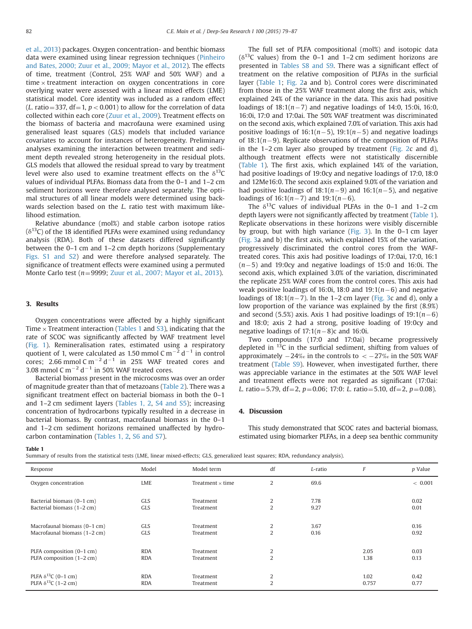[et al., 2013](#page-8-0)) packages. Oxygen concentration- and benthic biomass data were examined using linear regression techniques [\(Pinheiro](#page-8-0) [and Bates, 2000; Zuur et al., 2009; Mayor et al., 2012](#page-7-0)). The effects of time, treatment (Control, 25% WAF and 50% WAF) and a time  $\times$  treatment interaction on oxygen concentrations in core overlying water were assessed with a linear mixed effects (LME) statistical model. Core identity was included as a random effect (*L.* ratio=337, df=1,  $p < 0.001$ ) to allow for the correlation of data collected within each core [\(Zuur et al., 2009\)](#page-8-0). Treatment effects on the biomass of bacteria and macrofauna were examined using generalised least squares (GLS) models that included variance covariates to account for instances of heterogeneity. Preliminary analyses examining the interaction between treatment and sediment depth revealed strong heterogeneity in the residual plots. GLS models that allowed the residual spread to vary by treatment level were also used to examine treatment effects on the  $\delta^{13}C$ values of individual PLFAs. Biomass data from the 0–1 and 1–2 cm sediment horizons were therefore analysed separately. The optimal structures of all linear models were determined using backwards selection based on the L. ratio test with maximum likelihood estimation.

Relative abundance (mol%) and stable carbon isotope ratios  $(\delta^{13}C)$  of the 18 identified PLFAs were examined using redundancy analysis (RDA). Both of these datasets differed significantly between the 0–1 cm and 1–2 cm depth horizons (Supplementary [Figs. S1 and S2](#page-7-0)) and were therefore analysed separately. The significance of treatment effects were examined using a permuted Monte Carlo test ( $n=9999$ ; [Zuur et al., 2007; Mayor et al., 2013\)](#page-7-0).

## 3. Results

Oxygen concentrations were affected by a highly significant Time  $\times$  Treatment interaction (Tables 1 and [S3\)](#page-7-0), indicating that the rate of SCOC was significantly affected by WAF treatment level ([Fig. 1](#page-4-0)). Remineralisation rates, estimated using a respiratory quotient of 1, were calculated as 1.50 mmol  $\text{C m}^{-2} \text{ d}^{-1}$  in control cores; 2.66 mmol C m<sup>-2</sup> d<sup>-1</sup> in 25% WAF treated cores and 3.08 mmol C m<sup> $-2$ </sup> d<sup> $-1$ </sup> in 50% WAF treated cores.

Bacterial biomass present in the microcosms was over an order of magnitude greater than that of metazoans ([Table 2](#page-4-0)). There was a significant treatment effect on bacterial biomass in both the 0–1 and 1–2 cm sediment layers [\(Tables 1, 2,](#page-4-0) S4 and S5); increasing concentration of hydrocarbons typically resulted in a decrease in bacterial biomass. By contrast, macrofaunal biomass in the 0–1 and 1–2 cm sediment horizons remained unaffected by hydrocarbon contamination [\(Tables 1, 2,](#page-4-0) S6 and S7).

The full set of PLFA compositional (mol%) and isotopic data ( $\delta^{13}$ C values) from the 0-1 and 1-2 cm sediment horizons are presented in [Tables S8 and S9](#page-7-0). There was a significant effect of treatment on the relative composition of PLFAs in the surficial layer (Table 1; [Fig. 2](#page-5-0)a and b). Control cores were discriminated from those in the 25% WAF treatment along the first axis, which explained 24% of the variance in the data. This axis had positive loadings of  $18:1(n-7)$  and negative loadings of 14:0, 15:0i, 16:0, 16:0i, 17:0 and 17:0ai. The 50% WAF treatment was discriminated on the second axis, which explained 7.0% of variation. This axis had positive loadings of  $16:1(n-5)$ ,  $19:1(n-5)$  and negative loadings of  $18:1(n-9)$ . Replicate observations of the composition of PLFAs in the 1–2 cm layer also grouped by treatment [\(Fig. 2](#page-5-0)c and d), although treatment effects were not statistically discernible (Table 1). The first axis, which explained 14% of the variation, had positive loadings of 19:0cy and negative loadings of 17:0, 18:0 and 12Me16:0. The second axis explained 9.0% of the variation and had positive loadings of  $18:1(n-9)$  and  $16:1(n-5)$ , and negative loadings of  $16:1(n-7)$  and  $19:1(n-6)$ .

The  $\delta^{13}$ C values of individual PLFAs in the 0–1 and 1–2 cm depth layers were not significantly affected by treatment (Table 1). Replicate observations in these horizons were visibly discernible by group, but with high variance [\(Fig. 3](#page-6-0)). In the 0–1 cm layer ([Fig. 3a](#page-6-0) and b) the first axis, which explained 15% of the variation, progressively discriminated the control cores from the WAFtreated cores. This axis had positive loadings of 17:0ai, 17:0, 16:1  $(n-5)$  and 19:0cy and negative loadings of 15:0 and 16:0i. The second axis, which explained 3.0% of the variation, discriminated the replicate 25% WAF cores from the control cores. This axis had weak positive loadings of 16:0i, 18:0 and 19:1( $n-6$ ) and negative loadings of  $18:1(n-7)$ . In the 1–2 cm layer [\(Fig. 3c](#page-6-0) and d), only a low proportion of the variance was explained by the first (8.9%) and second (5.5%) axis. Axis 1 had positive loadings of  $19:1(n-6)$ and 18:0; axis 2 had a strong, positive loading of 19:0cy and negative loadings of  $17:1(n-8)c$  and 16:0i.

Two compounds (17:0 and 17:0ai) became progressively depleted in  $^{13}$ C in the surficial sediment, shifting from values of approximately  $-24\%$  in the controls to  $<-27\%$  in the 50% WAF treatment [\(Table S9\)](#page-7-0). However, when investigated further, there was appreciable variance in the estimates at the 50% WAF level and treatment effects were not regarded as significant (17:0ai: L. ratio = 5.79, df = 2, p = 0.06; 17:0: L. ratio = 5.10, df = 2, p = 0.08).

# 4. Discussion

This study demonstrated that SCOC rates and bacterial biomass, estimated using biomarker PLFAs, in a deep sea benthic community

Table 1

Summary of results from the statistical tests (LME, linear mixed-effects; GLS, generalized least squares; RDA, redundancy analysis).

| Response                      | Model      | Model term              | df             | L-ratio | F     | p Value |
|-------------------------------|------------|-------------------------|----------------|---------|-------|---------|
| Oxygen concentration          | LME        | Treatment $\times$ time | 2              | 69.6    |       | < 0.001 |
| Bacterial biomass (0-1 cm)    | <b>GLS</b> | Treatment               | 2              | 7.78    |       | 0.02    |
| Bacterial biomass (1-2 cm)    | <b>GLS</b> | Treatment               | $\overline{2}$ | 9.27    |       | 0.01    |
| Macrofaunal biomass (0-1 cm)  | <b>GLS</b> | Treatment               | 2              | 3.67    |       | 0.16    |
| Macrofaunal biomass (1-2 cm)  | <b>GLS</b> | Treatment               | $\overline{2}$ | 0.16    |       | 0.92    |
| PLFA composition (0-1 cm)     | <b>RDA</b> | Treatment               | 2              |         | 2.05  | 0.03    |
| PLFA composition (1-2 cm)     | <b>RDA</b> | Treatment               | $\overline{2}$ |         | 1.38  | 0.13    |
| PLFA $\delta^{13}$ C (0-1 cm) | <b>RDA</b> | Treatment               | 2              |         | 1.02  | 0.42    |
| PLFA $\delta^{13}$ C (1-2 cm) | <b>RDA</b> | Treatment               | $\overline{2}$ |         | 0.757 | 0.77    |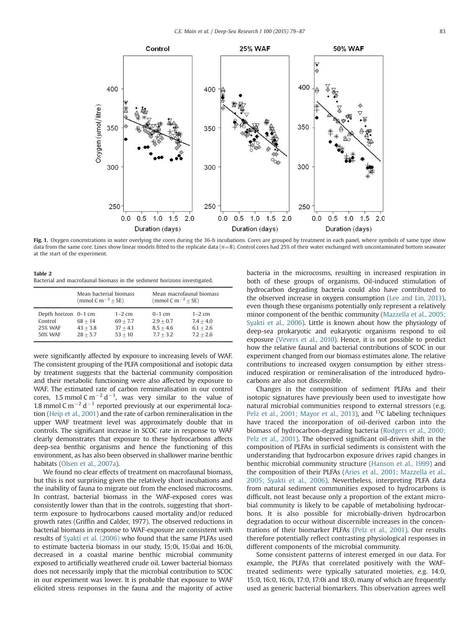<span id="page-4-0"></span>

Fig. 1. Oxygen concentrations in water overlying the cores during the 36-h incubations. Cores are grouped by treatment in each panel, where symbols of same type show data from the same core. Lines show linear models fitted to the replicate data ( $n=8$ ). Control cores had 25% of their water exchanged with uncontaminated bottom seawater at the start of the experiment.

Table 2 Bacterial and macrofaunal biomass in the sediment horizons investigated.

|                                                       | Mean bacterial biomass<br>(mmol C m <sup><math>-2</math></sup> $\pm$ SE) |                                                   | Mean macrofaunal biomass<br>(mmol C m <sup><math>-2</math></sup> $\pm$ SE) |                                                         |  |
|-------------------------------------------------------|--------------------------------------------------------------------------|---------------------------------------------------|----------------------------------------------------------------------------|---------------------------------------------------------|--|
| Depth horizon 0-1 cm<br>Control<br>25% WAF<br>50% WAF | $68 + 14$<br>$43 + 3.8$<br>$28 + 5.7$                                    | $1-2$ cm<br>$69 + 7.7$<br>$37 + 4.1$<br>$53 + 10$ | $0-1$ cm<br>$2.9 + 0.7$<br>$8.5 + 4.6$<br>$7.7 + 3.2$                      | $1 - 2$ cm<br>$7.4 + 4.0$<br>$6.1 + 2.6$<br>$7.2 + 2.6$ |  |

were significantly affected by exposure to increasing levels of WAF. The consistent grouping of the PLFA compositional and isotopic data by treatment suggests that the bacterial community composition and their metabolic functioning were also affected by exposure to WAF. The estimated rate of carbon remineralisation in our control cores, 1.5 mmol  $\text{C m}^{-2} \text{d}^{-1}$ , was very similar to the value of 1.8 mmol C m<sup>-2</sup> d<sup>-1</sup> reported previously at our experimental location [\(Heip et al., 2001\)](#page-7-0) and the rate of carbon remineralisation in the upper WAF treatment level was approximately double that in controls. The significant increase in SCOC rate in response to WAF clearly demonstrates that exposure to these hydrocarbons affects deep-sea benthic organisms and hence the functioning of this environment, as has also been observed in shallower marine benthic habitats [\(Olsen et al., 2007a](#page-8-0)).

We found no clear effects of treatment on macrofaunal biomass, but this is not surprising given the relatively short incubations and the inability of fauna to migrate out from the enclosed microcosms. In contrast, bacterial biomass in the WAF-exposed cores was consistently lower than that in the controls, suggesting that shortterm exposure to hydrocarbons caused mortality and/or reduced growth rates (Griffin and Calder, 1977). The observed reductions in bacterial biomass in response to WAF-exposure are consistent with results of [Syakti et al. \(2006\)](#page-8-0) who found that the same PLFAs used to estimate bacteria biomass in our study, 15:0i, 15:0ai and 16:0i, decreased in a coastal marine benthic microbial community exposed to artificially weathered crude oil. Lower bacterial biomass does not necessarily imply that the microbial contribution to SCOC in our experiment was lower. It is probable that exposure to WAF elicited stress responses in the fauna and the majority of active bacteria in the microcosms, resulting in increased respiration in both of these groups of organisms. Oil-induced stimulation of hydrocarbon degrading bacteria could also have contributed to the observed increase in oxygen consumption [\(Lee and Lin, 2013\)](#page-7-0), even though these organisms potentially only represent a relatively minor component of the benthic community ([Mazzella et al., 2005;](#page-7-0) [Syakti et al., 2006](#page-8-0)). Little is known about how the physiology of deep-sea prokaryotic and eukaryotic organisms respond to oil exposure ([Vevers et al., 2010\)](#page-8-0). Hence, it is not possible to predict how the relative faunal and bacterial contributions of SCOC in our experiment changed from our biomass estimates alone. The relative contributions to increased oxygen consumption by either stressinduced respiration or remineralisation of the introduced hydrocarbons are also not discernible.

Changes in the composition of sediment PLFAs and their isotopic signatures have previously been used to investigate how natural microbial communities respond to external stressors (e.g. [Pelz et al., 2001; Mayor et al., 2013](#page-7-0)), and <sup>13</sup>C labeling techniques have traced the incorporation of oil-derived carbon into the biomass of hydrocarbon-degrading bacteria ([Rodgers et al., 2000;](#page-8-0) [Pelz et al., 2001\)](#page-8-0). The observed significant oil-driven shift in the composition of PLFAs in surficial sediments is consistent with the understanding that hydrocarbon exposure drives rapid changes in benthic microbial community structure ([Hanson et al., 1999](#page-7-0)) and the composition of their PLFAs [\(Aries et al., 2001; Mazzella et al.,](#page-7-0) [2005; Syakti et al., 2006](#page-8-0)). Nevertheless, interpreting PLFA data from natural sediment communities exposed to hydrocarbons is difficult, not least because only a proportion of the extant microbial community is likely to be capable of metabolising hydrocarbons. It is also possible for microbially-driven hydrocarbon degradation to occur without discernible increases in the concentrations of their biomarker PLFAs [\(Pelz et al., 2001](#page-8-0)). Our results therefore potentially reflect contrasting physiological responses in different components of the microbial community.

Some consistent patterns of interest emerged in our data. For example, the PLFAs that correlated positively with the WAFtreated sediments were typically saturated moieties, e.g. 14:0, 15:0, 16:0, 16:0i, 17:0, 17:0i and 18:0, many of which are frequently used as generic bacterial biomarkers. This observation agrees well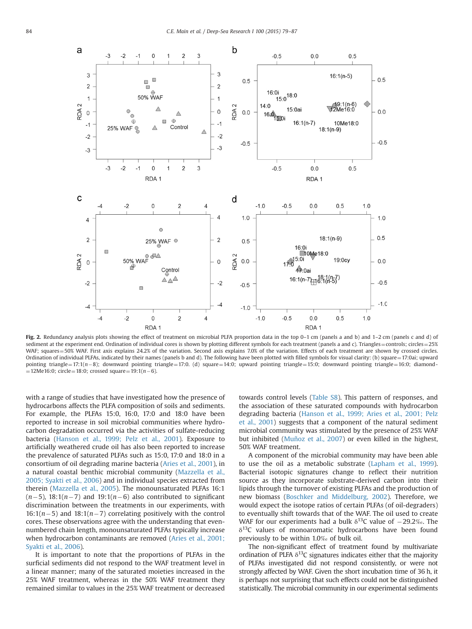<span id="page-5-0"></span>

Fig. 2. Redundancy analysis plots showing the effect of treatment on microbial PLFA proportion data in the top 0-1 cm (panels a and b) and 1-2 cm (panels c and d) of sediment at the experiment end. Ordination of individual cores is shown by plotting different symbols for each treatment (panels a and c). Triangles = controls: circles = 25% WAF: squares=50% WAF. First axis explains 24.2% of the variation. Second axis explains 7.0% of the variation. Effects of each treatment are shown by crossed circles. Ordination of individual PLFAs, indicated by their names (panels b and d). The following have been plotted with filled symbols for visual clarity: (b) square=17:0ai; upward pointing triangle=17:1(n-8); downward pointing triangle=17:0. (d) square=14:0; upward pointing triangle=15:0; downward pointing triangle=16:0; diamond- $=12$ Me16:0; circle = 18:0; crossed square = 19:1(n-6).

with a range of studies that have investigated how the presence of hydrocarbons affects the PLFA composition of soils and sediments. For example, the PLFAs 15:0, 16:0, 17:0 and 18:0 have been reported to increase in soil microbial communities where hydrocarbon degradation occurred via the activities of sulfate-reducing bacteria ([Hanson et al., 1999; Pelz et al., 2001](#page-8-0)). Exposure to artificially weathered crude oil has also been reported to increase the prevalence of saturated PLFAs such as 15:0, 17:0 and 18:0 in a consortium of oil degrading marine bacteria ([Aries et al., 2001\)](#page-7-0), in a natural coastal benthic microbial community ([Mazzella et al.,](#page-7-0) [2005; Syakti et al., 2006](#page-8-0)) and in individual species extracted from therein [\(Mazzella et al., 2005](#page-7-0)). The monounsaturated PLFAs 16:1  $(n-5)$ , 18:1 $(n-7)$  and 19:1 $(n-6)$  also contributed to significant discrimination between the treatments in our experiments, with 16:1( $n-5$ ) and 18:1( $n-7$ ) correlating positively with the control cores. These observations agree with the understanding that evennumbered chain length, monounsaturated PLFAs typically increase when hydrocarbon contaminants are removed [\(Aries et al., 2001;](#page-7-0) [Syakti et al., 2006](#page-8-0)).

It is important to note that the proportions of PLFAs in the surficial sediments did not respond to the WAF treatment level in a linear manner; many of the saturated moieties increased in the 25% WAF treatment, whereas in the 50% WAF treatment they remained similar to values in the 25% WAF treatment or decreased

towards control levels ([Table S8](#page-7-0)). This pattern of responses, and the association of these saturated compounds with hydrocarbon degrading bacteria ([Hanson et al., 1999; Aries et al., 2001; Pelz](#page-8-0) [et al., 2001](#page-8-0)) suggests that a component of the natural sediment microbial community was stimulated by the presence of 25% WAF but inhibited ([Muñoz et al., 2007](#page-8-0)) or even killed in the highest, 50% WAF treatment.

A component of the microbial community may have been able to use the oil as a metabolic substrate [\(Lapham et al., 1999\)](#page-7-0). Bacterial isotopic signatures change to reflect their nutrition source as they incorporate substrate-derived carbon into their lipids through the turnover of existing PLFAs and the production of new biomass [\(Boschker and Middelburg, 2002\)](#page-7-0). Therefore, we would expect the isotope ratios of certain PLFAs (of oil-degraders) to eventually shift towards that of the WAF. The oil used to create WAF for our experiments had a bulk  $\delta^{13}$ C value of  $-29.2\%$ . The  $\delta^{13}$ C values of monoaromatic hydrocarbons have been found previously to be within 1.0‰ of bulk oil.

The non-significant effect of treatment found by multivariate ordination of PLFA  $\delta^{13}$ C signatures indicates either that the majority of PLFAs investigated did not respond consistently, or were not strongly affected by WAF. Given the short incubation time of 36 h, it is perhaps not surprising that such effects could not be distinguished statistically. The microbial community in our experimental sediments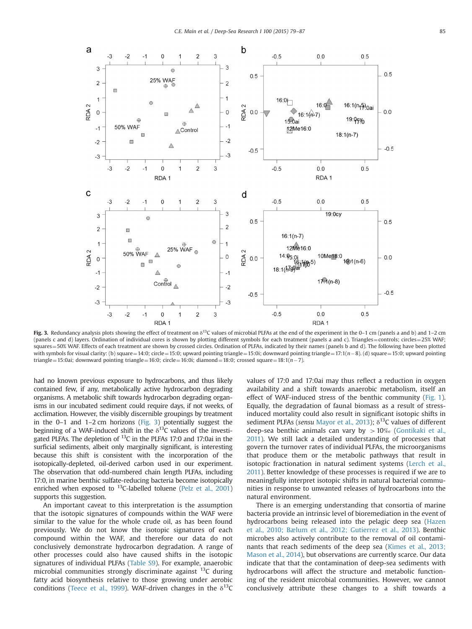<span id="page-6-0"></span>

Fig. 3. Redundancy analysis plots showing the effect of treatment on  $\delta^{13}$ C values of microbial PLFAs at the end of the experiment in the 0-1 cm (panels a and b) and 1-2 cm (panels c and d) layers. Ordination of individual cores is shown by plotting different symbols for each treatment (panels a and c). Triangles = controls; circles = 25% WAF; squares = 50% WAF. Effects of each treatment are shown by crossed circles. Ordination of PLFAs, indicated by their names (panels b and d). The following have been plotted with symbols for visual clarity: (b) square = 14:0; circle = 15:0; upward pointing triangle = 15:0i; downward pointing triangle = 17:1(n - 8). (d) square = 15:0; upward pointing triangle = 15:0ai; downward pointing triangle = 16:0; circle = 16:0i; diamond = 18:0; crossed square = 18:1(n-7).

had no known previous exposure to hydrocarbons, and thus likely contained few, if any, metabolically active hydrocarbon degrading organisms. A metabolic shift towards hydrocarbon degrading organisms in our incubated sediment could require days, if not weeks, of acclimation. However, the visibly discernible groupings by treatment in the 0–1 and 1–2 cm horizons (Fig. 3) potentially suggest the beginning of a WAF-induced shift in the  $\delta^{13}$ C values of the investigated PLFAs. The depletion of  $^{13}$ C in the PLFAs 17:0 and 17:0ai in the surficial sediments, albeit only marginally significant, is interesting because this shift is consistent with the incorporation of the isotopically-depleted, oil-derived carbon used in our experiment. The observation that odd-numbered chain length PLFAs, including 17:0, in marine benthic sulfate-reducing bacteria become isotopically enriched when exposed to  $^{13}$ C-labelled toluene [\(Pelz et al., 2001\)](#page-8-0) supports this suggestion.

An important caveat to this interpretation is the assumption that the isotopic signatures of compounds within the WAF were similar to the value for the whole crude oil, as has been found previously. We do not know the isotopic signatures of each compound within the WAF, and therefore our data do not conclusively demonstrate hydrocarbon degradation. A range of other processes could also have caused shifts in the isotopic signatures of individual PLFAs [\(Table S9](#page-7-0)). For example, anaerobic microbial communities strongly discriminate against <sup>13</sup>C during fatty acid biosynthesis relative to those growing under aerobic conditions [\(Teece et al., 1999\)](#page-8-0). WAF-driven changes in the  $\delta^{13}C$  values of 17:0 and 17:0ai may thus reflect a reduction in oxygen availability and a shift towards anaerobic metabolism, itself an effect of WAF-induced stress of the benthic community ([Fig. 1\)](#page-4-0). Equally, the degradation of faunal biomass as a result of stressinduced mortality could also result in significant isotopic shifts in sediment PLFAs (sensu [Mayor et al., 2013\)](#page-7-0);  $\delta^{13}$ C values of different deep-sea benthic animals can vary by  $> 10\%$  [\(Gontikaki et al.,](#page-7-0) [2011](#page-7-0)). We still lack a detailed understanding of processes that govern the turnover rates of individual PLFAs, the microorganisms that produce them or the metabolic pathways that result in isotopic fractionation in natural sediment systems [\(Lerch et al.,](#page-7-0) [2011](#page-7-0)). Better knowledge of these processes is required if we are to meaningfully interpret isotopic shifts in natural bacterial communities in response to unwanted releases of hydrocarbons into the natural environment.

There is an emerging understanding that consortia of marine bacteria provide an intrinsic level of bioremediation in the event of hydrocarbons being released into the pelagic deep sea ([Hazen](#page-7-0) [et al., 2010; Bælum et al., 2012; Gutierrez et al., 2013](#page-7-0)). Benthic microbes also actively contribute to the removal of oil contaminants that reach sediments of the deep sea ([Kimes et al., 2013;](#page-7-0) [Mason et al., 2014](#page-7-0)), but observations are currently scarce. Our data indicate that that the contamination of deep-sea sediments with hydrocarbons will affect the structure and metabolic functioning of the resident microbial communities. However, we cannot conclusively attribute these changes to a shift towards a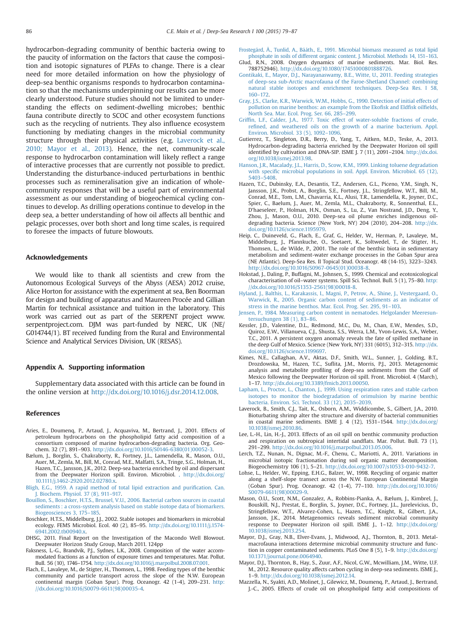<span id="page-7-0"></span>hydrocarbon-degrading community of benthic bacteria owing to the paucity of information on the factors that cause the composition and isotopic signatures of PLFAs to change. There is a clear need for more detailed information on how the physiology of deep-sea benthic organisms responds to hydrocarbon contamination so that the mechanisms underpinning our results can be more clearly understood. Future studies should not be limited to understanding the effects on sediment-dwelling microbes; benthic fauna contribute directly to SCOC and other ecosystem functions such as the recycling of nutrients. They also influence ecosystem functioning by mediating changes in the microbial community structure through their physical activities (e.g. Laverock et al., 2010; Mayor et al., 2013). Hence, the net, community-scale response to hydrocarbon contamination will likely reflect a range of interactive processes that are currently not possible to predict. Understanding the disturbance-induced perturbations in benthic processes such as remineralisation give an indication of wholecommunity responses that will be a useful part of environmental assessment as our understanding of biogeochemical cycling continues to develop. As drilling operations continue to develop in the deep sea, a better understanding of how oil affects all benthic and pelagic processes, over both short and long time scales, is required to foresee the impacts of future blowouts.

## Acknowledgements

We would like to thank all scientists and crew from the Autonomous Ecological Surveys of the Abyss (AESA) 2012 cruise, Alice Horton for assistance with the experiment at sea, Ben Boorman for design and building of apparatus and Maureen Procée and Gillian Martin for technical assistance and tuition in the laboratory. This work was carried out as part of the SERPENT project www. serpentproject.com. DJM was part-funded by NERC, UK (NE/ G014744/1). BT received funding from the Rural and Environmental Science and Analytical Services Division, UK (RESAS).

## Appendix A. Supporting information

Supplementary data associated with this article can be found in the online version at [http://dx.doi.org/10.1016/j.dsr.2014.12.008.](http://dx.doi.org/10.1016/j.dsr.2014.12.008)

# References

- Aries, E., Doumenq, P., Artaud, J., Acquaviva, M., Bertrand, J., 2001. Effects of petroleum hydrocarbons on the phospholipid fatty acid composition of a consortium composed of marine hydrocarbon-degrading bacteria. Org. Geochem. 32 (7), 891–903. [http://dx.doi.org/10.1016/S0146-6380\(01\)00052-3](http://dx.doi.org/10.1016/S0146-6380(01)00052-3).
- Bælum, J., Borglin, S., Chakraborty, R., Fortney, J.L., Lamendella, R., Mason, O.U., Auer, M., Zemla, M., Bill, M., Conrad, M.E., Malfatti, S.A., Tringe, S.G., Holman, H., Hazen, T.C., Jansson, J.K., 2012. Deep-sea bacteria enriched by oil and dispersant from the Deepwater Horizon spill. Environ. Microbiol. , [http://dx.doi.org/](http://dx.doi.org/10.1111/j.1462-2920.2012.02780.x) [10.1111/j.1462-2920.2012.02780.x.](http://dx.doi.org/10.1111/j.1462-2920.2012.02780.x)
- [Bligh, E.G., 1959. A rapid method of total lipid extraction and puri](http://refhub.elsevier.com/S0967-0637(15)00002-3/sbref3)fication. Can. [J. Biochem. Physiol. 37 \(8\), 911](http://refhub.elsevier.com/S0967-0637(15)00002-3/sbref3)–917.
- [Bouillon, S., Boschker, H.T.S., Brussel, V.U., 2006. Bacterial carbon sources in coastal](http://refhub.elsevier.com/S0967-0637(15)00002-3/sbref4) [sediments : a cross-system analysis based on stable isotope data of biomarkers.](http://refhub.elsevier.com/S0967-0637(15)00002-3/sbref4) [Biogeosciences 3, 175](http://refhub.elsevier.com/S0967-0637(15)00002-3/sbref4)–185.
- Boschker, H.T.S., Middelburg, J.J., 2002. Stable isotopes and biomarkers in microbial ecology. FEMS Microbiol. Ecol. 40 (2), 85–95. [http://dx.doi.org/10.1111/j.1574-](http://dx.doi.org/10.1111/j.1574-6941.2002.tb00940.x) [6941.2002.tb00940.x.](http://dx.doi.org/10.1111/j.1574-6941.2002.tb00940.x)
- DHSG, 2011. Final Report on the Investigation of the Macondo Well Blowout. Deepwater Horizon Study Group, March 2011. 124pp
- Faksness, L.-G., Brandvik, P.J., Sydnes, L.K., 2008. Composition of the water accommodated fractions as a function of exposure times and temperatures. Mar. Pollut. Bull. 56 (10), 1746–1754. [http://dx.doi.org/10.1016/j.marpolbul.2008.07.001.](http://dx.doi.org/10.1016/j.marpolbul.2008.07.001)
- Flach, E., Lavaleye, M., de Stigter, H., Thomsen, L., 1998. Feeding types of the benthic community and particle transport across the slope of the N.W. European continental margin (Goban Spur). Prog. Oceanogr. 42 (1-4), 209–231. [http:](http://dx.doi.org/10.1016/S0079-6611(98)00035-4) [//dx.doi.org/10.1016/S0079-6611\(98\)00035-4.](http://dx.doi.org/10.1016/S0079-6611(98)00035-4)
- [Frostegård, Å., Tunlid, A., Bååth., E., 1991. Microbial biomass measured as total lipid](http://refhub.elsevier.com/S0967-0637(15)00002-3/sbref8) [phosphate in soils of different organic content. J. Microbiol. Methods 14, 151](http://refhub.elsevier.com/S0967-0637(15)00002-3/sbref8)–163.
- Glud, R.N., 2008. Oxygen dynamics of marine sediments. Mar. Biol. Res. 788752946), [http://dx.doi.org/10.1080/17451000801888726.](http://dx.doi.org/10.1080/17451000801888726)
- [Gontikaki, E., Mayor, D.J., Narayanaswamy, B.E., Witte, U., 2011. Feeding strategies](http://refhub.elsevier.com/S0967-0637(15)00002-3/sbref11) [of deep-sea sub-Arctic macrofauna of the Faroe-Shetland Channel: combining](http://refhub.elsevier.com/S0967-0637(15)00002-3/sbref11) [natural stable isotopes and enrichment techniques. Deep-Sea Res. I 58,](http://refhub.elsevier.com/S0967-0637(15)00002-3/sbref11) 160–[172.](http://refhub.elsevier.com/S0967-0637(15)00002-3/sbref11)
- [Gray, J.S., Clarke, K.R., Warwick, W.M., Hobbs, G., 1990. Detection of initial effects of](http://refhub.elsevier.com/S0967-0637(15)00002-3/sbref12) [pollution on marine benthos: an example from the Eko](http://refhub.elsevier.com/S0967-0637(15)00002-3/sbref12)fisk and Eldfisk oilfields,
- [North Sea. Mar. Ecol. Prog. Ser. 66, 285](http://refhub.elsevier.com/S0967-0637(15)00002-3/sbref12)–299. Griffi[n, L.F., Calder, J.A., 1977. Toxic effect of water-soluble fractions of crude,](http://refhub.elsevier.com/S0967-0637(15)00002-3/sbref13) refi[ned, and weathered oils on the growth of a marine bacterium. Appl.](http://refhub.elsevier.com/S0967-0637(15)00002-3/sbref13) [Environ. Microbiol. 33 \(5\), 1092](http://refhub.elsevier.com/S0967-0637(15)00002-3/sbref13)–1096.
- Gutierrez, T., Singleton, D.R., Berry, D., Yang, T., Aitken, M.D., Teske, A., 2013. Hydrocarbon-degrading bacteria enriched by the Deepwater Horizon oil spill identified by cultivation and DNA-SIP. ISME J. 7 (11), 2091–2104. [http://dx.doi.](http://dx.doi.org/10.1038/ismej.2013.98) [org/10.1038/ismej.2013.98.](http://dx.doi.org/10.1038/ismej.2013.98)
- [Hanson, J.R., Macalady, J.L., Harris, D., Scow, K.M., 1999. Linking toluene degradation](http://refhub.elsevier.com/S0967-0637(15)00002-3/sbref15) with specifi[c microbial populations in soil. Appl. Environ. Microbiol. 65 \(12\),](http://refhub.elsevier.com/S0967-0637(15)00002-3/sbref15) 5403–[5408.](http://refhub.elsevier.com/S0967-0637(15)00002-3/sbref15)
- Hazen, T.C., Dubinsky, E.A., Desantis, T.Z., Andersen, G.L., Piceno, Y.M., Singh, N., Jansson, J.K., Probst, A., Borglin, S.E., Fortney, J.L., Stringfellow, W.T., Bill, M., Conrad, M.E., Tom, L.M., Chavarria, K.L., Alusi, T.R., Lamendella, R., Joyner, D.C., Spier, C., Baelum, J., Auer, M., Zemla, M.L., Chakraborty, R., Sonnenthal, E.L., D'haeseleer, P., Holman, H.N., Osman, S., Lu, Z., Van Nostrand, J.D., Deng, Y., Zhou, J., Mason, O.U., 2010. Deep-sea oil plume enriches indigenous oildegrading bacteria. Science (New York, NY) 204 (2010), 204–208. [http://dx.](http://dx.doi.org/10.1126/science.1195979) [doi.org/10.1126/science.1195979](http://dx.doi.org/10.1126/science.1195979).
- Heip, C., Duineveld, G., Flach, E., Graf, G., Helder, W., Herman, P., Lavaleye, M., Middelburg, J., Pfannkuche, O., Soetaert, K., Soltwedel, T., de Stigter, H., Thomsen, L., de Wilde, P., 2001. The role of the benthic biota in sedimentary metabolism and sediment-water exchange processes in the Goban Spur area (NE Atlantic). Deep-Sea Res. II Topical Stud. Oceanogr. 48 (14-15), 3223–3243. [http://dx.doi.org/10.1016/S0967-0645\(01\)00038-8](http://dx.doi.org/10.1016/S0967-0645(01)00038-8).
- Hokstad, J., Daling, P., Buffagni, M., Johnsen, S., 1999. Chemical and ecotoxicological characterisation of oil–water systems. Spill Sci. Technol. Bull. 5 (1), 75–80. [http:](http://dx.doi.org/10.1016/S1353-2561(98)00018-8) [//dx.doi.org/10.1016/S1353-2561\(98\)00018-8.](http://dx.doi.org/10.1016/S1353-2561(98)00018-8)
- [Hyland, J., Balthis, L., Karakassis, I., Magni, P., Petrov, A., Shine, J., Vestergaard, O.,](http://refhub.elsevier.com/S0967-0637(15)00002-3/sbref19) [Warwick, R., 2005. Organic carbon content of sediments as an indicator of](http://refhub.elsevier.com/S0967-0637(15)00002-3/sbref19) [stress in the marine benthos. Mar. Ecol. Prog. Ser. 295, 91](http://refhub.elsevier.com/S0967-0637(15)00002-3/sbref19)–103.
- [Jensen, P., 1984. Measuring carbon content in nematodes. Helgolander Meeresun](http://refhub.elsevier.com/S0967-0637(15)00002-3/sbref21)[tersuchungen 38 \(1\), 83](http://refhub.elsevier.com/S0967-0637(15)00002-3/sbref21)–86.
- Kessler, J.D., Valentine, D.L., Redmond, M.C., Du, M., Chan, E.W., Mendes, S.D., Quiroz, E.W., Villanueva, C.J., Shusta, S.S., Werra, L.M., Yvon-Lewis, S.A., Weber, T.C., 2011. A persistent oxygen anomaly reveals the fate of spilled methane in the deep Gulf of Mexico. Science (New York, NY) 331 (6015), 312-315. [http://dx.](http://dx.doi.org/10.1126/science.1199697) [doi.org/10.1126/science.1199697](http://dx.doi.org/10.1126/science.1199697).
- Kimes, N.E., Callaghan, A.V., Aktas, D.F., Smith, W.L., Sunner, J., Golding, B.T., Drozdowska, M., Hazen, T.C., Suflita, J.M., Morris, P.J., 2013. Metagenomic analysis and metabolite profiling of deep-sea sediments from the Gulf of Mexico following the Deepwater Horizon oil spill. Front. Microbiol. 4 (March), 1–17. <http://dx.doi.org/10.3389/fmicb.2013.00050>.
- [Lapham, L., Proctor, L., Chanton, J., 1999. Using respiration rates and stable carbon](http://refhub.elsevier.com/S0967-0637(15)00002-3/sbref24) [isotopes to monitor the biodegradation of orimulsion by marine benthic](http://refhub.elsevier.com/S0967-0637(15)00002-3/sbref24) [bacteria. Environ. Sci. Technol. 33 \(12\), 2035](http://refhub.elsevier.com/S0967-0637(15)00002-3/sbref24)–2039.
- Laverock, B., Smith, C.J., Tait, K., Osborn, A.M., Widdicombe, S., Gilbert, J.A., 2010. Bioturbating shrimp alter the structure and diversity of bacterial communities in coastal marine sediments. ISME J. 4 (12), 1531–1544. [http://dx.doi.org/](http://dx.doi.org/10.1038/ismej.2010.86) [10.1038/ismej.2010.86.](http://dx.doi.org/10.1038/ismej.2010.86)
- Lee, L.-H., Lin, H.-J., 2013. Effects of an oil spill on benthic community production and respiration on subtropical intertidal sandflats. Mar. Pollut. Bull. 73 (1), 291–299. <http://dx.doi.org/10.1016/j.marpolbul.2013.05.006>.
- Lerch, T.Z., Nunan, N., Dignac, M.-F., Chenu, C., Mariotti, A., 2011. Variations in microbial isotopic fractionation during soil organic matter decomposition. Biogeochemistry 106 (1), 5–21. [http://dx.doi.org/10.1007/s10533-010-9432-7.](http://dx.doi.org/10.1007/s10533-010-9432-7)
- Lohse, L., Helder, W., Epping, E.H.G., Balzer, W., 1998. Recycling of organic matter along a shelf-slope transect across the N.W. European Continental Margin (Goban Spur). Prog. Oceanogr. 42 (1-4), 77–110. [http://dx.doi.org/10.1016/](http://dx.doi.org/10.1016/S0079-6611(98)00029-9) [S0079-6611\(98\)00029-9.](http://dx.doi.org/10.1016/S0079-6611(98)00029-9)
- Mason, O.U., Scott, N.M., Gonzalez, A., Robbins-Pianka, A., Bælum, J., Kimbrel, J., Bouskill, N.J., Prestat, E., Borglin, S., Joyner, D.C., Fortney, J.L., Jurelevicius, D., Stringfellow, W.T., Alvarez-Cohen, L., Hazen, T.C., Knight, R., Gilbert, J.A., Jansson, J.K., 2014. Metagenomics reveals sediment microbial community response to Deepwater Horizon oil spill. ISME J., 1–12. [http://dx.doi.org/](http://dx.doi.org/10.1038/ismej.2013.254) [10.1038/ismej.2013.254](http://dx.doi.org/10.1038/ismej.2013.254).
- Mayor, D.J., Gray, N.B., Elver-Evans, J., Midwood, A.J., Thornton, B., 2013. Metalmacrofauna interactions determine microbial community structure and function in copper contaminated sediments. PLoS One 8 (5), 1–9. [http://dx.doi.org/](http://dx.doi.org/10.1371/journal.pone.0064940) [10.1371/journal.pone.0064940](http://dx.doi.org/10.1371/journal.pone.0064940).
- Mayor, D.J., Thornton, B., Hay, S., Zuur, A.F., Nicol, G.W., Mcwilliam, J.M., Witte, U.F. M., 2012. Resource quality affects carbon cycling in deep-sea sediments. ISME J., 1–9. <http://dx.doi.org/10.1038/ismej.2012.14>.
- Mazzella, N., Syakti, A.D., Molinet, J., Gilewicz, M., Doumenq, P., Artaud, J., Bertrand, J.-C., 2005. Effects of crude oil on phospholipid fatty acid compositions of